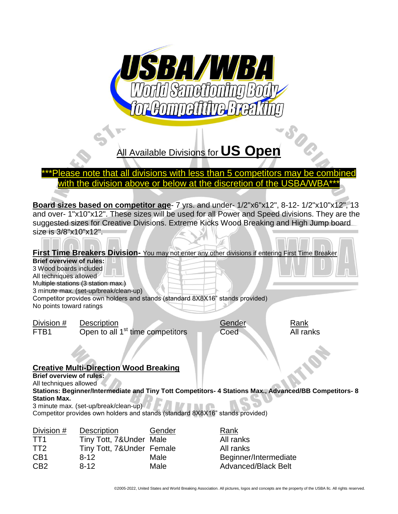

# All Available Divisions for **US Open**

## \*\*\*Please note that all divisions with less than 5 competitors may be combined with the division above or below at the discretion of the USBA/WBA\*\*\*

**Board sizes based on competitor age**- 7 yrs. and under- 1/2"x6"x12", 8-12- 1/2"x10"x12", 13 and over- 1"x10"x12". These sizes will be used for all Power and Speed divisions. They are the suggested sizes for Creative Divisions. Extreme Kicks Wood Breaking and High Jump board size is 3/8"x10"x12".

**THAND** 

|                                                                                                                 | First Time Breakers Division- You may not enter any other divisions if entering First Time Breaker                                                           |                |                                                         |                                                                                                        |
|-----------------------------------------------------------------------------------------------------------------|--------------------------------------------------------------------------------------------------------------------------------------------------------------|----------------|---------------------------------------------------------|--------------------------------------------------------------------------------------------------------|
| <b>Brief overview of rules:</b><br>3 Wood boards included<br>All techniques allowed<br>No points toward ratings | Multiple stations (3 station max.)<br>3 minute max. (set-up/break/clean-up)<br>Competitor provides own holders and stands (standard 8X8X16" stands provided) |                |                                                         |                                                                                                        |
| Division #<br>FTB1                                                                                              | Description<br>Open to all 1 <sup>st</sup> time competitors                                                                                                  |                | Gender<br>Coed                                          | Rank<br>All ranks                                                                                      |
| <b>Brief overview of rules:</b><br>All techniques allowed<br><b>Station Max.</b>                                | <b>Creative Multi-Direction Wood Breaking</b><br>3 minute max. (set-up/break/clean-up)                                                                       |                |                                                         | Stations: Beginner/Intermediate and Tiny Tott Competitors- 4 Stations Max., Advanced/BB Competitors- 8 |
|                                                                                                                 | Competitor provides own holders and stands (standard 8X8X16" stands provided)                                                                                |                |                                                         |                                                                                                        |
| Division #<br>TT <sub>1</sub><br>TT <sub>2</sub><br>CB <sub>1</sub>                                             | <b>Description</b><br>Tiny Tott, 7&Under Male<br>Tiny Tott, 7&Under Female<br>$8 - 12$                                                                       | Gender<br>Male | Rank<br>All ranks<br>All ranks<br>Beginner/Intermediate |                                                                                                        |

CB2 8-12 Male Advanced/Black Belt

©2005-2022, United States and World Breaking Association. All pictures, logos and concepts are the property of the USBA llc. All rights reserved.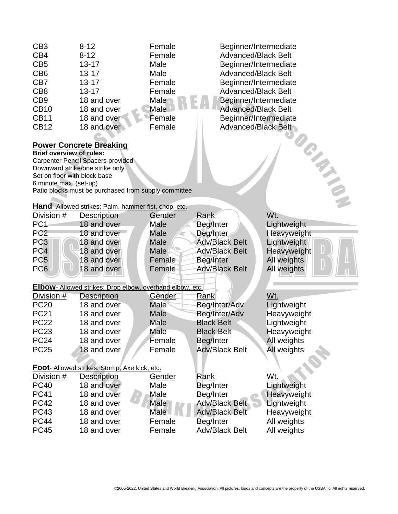| CB <sub>3</sub>                 | $8 - 12$                                                        | Female         | Beginner/Intermediate      |             |
|---------------------------------|-----------------------------------------------------------------|----------------|----------------------------|-------------|
| CB4                             | $8 - 12$                                                        | Female         | <b>Advanced/Black Belt</b> |             |
| CB <sub>5</sub>                 | $13 - 17$                                                       | Male           | Beginner/Intermediate      |             |
| CB <sub>6</sub>                 | $13 - 17$                                                       | Male           | <b>Advanced/Black Belt</b> |             |
| CB7                             | $13 - 17$                                                       | Female         | Beginner/Intermediate      |             |
| CB <sub>8</sub>                 | $13 - 17$                                                       | Female         | <b>Advanced/Black Belt</b> |             |
| CB <sub>9</sub>                 | 18 and over                                                     | Male           | Beginner/Intermediate      |             |
| <b>CB10</b>                     | 18 and over                                                     | <b>Male</b>    | <b>Advanced/Black Belt</b> |             |
| <b>CB11</b>                     | 18 and over                                                     | Female         | Beginner/Intermediate      |             |
| <b>CB12</b>                     | 18 and over                                                     | Female         | <b>Advanced/Black Belt</b> |             |
|                                 |                                                                 |                |                            |             |
|                                 | <b>Power Concrete Breaking</b>                                  |                |                            | TON TIME    |
| <b>Brief overview of rules:</b> |                                                                 |                |                            |             |
|                                 | Carpenter Pencil Spacers provided                               |                |                            |             |
|                                 | Downward strike/one strike only                                 |                |                            |             |
| Set on floor with block base    |                                                                 |                |                            |             |
| 6 minute max. (set-up)          |                                                                 |                |                            |             |
|                                 | Patio blocks must be purchased from supply committee            |                |                            |             |
|                                 |                                                                 |                |                            |             |
|                                 | Hand- Allowed strikes: Palm, hammer fist, chop, etc.            |                |                            | Wt.         |
| Division #<br>PC <sub>1</sub>   | Description                                                     | Gender<br>Male | Rank                       | Lightweight |
|                                 | 18 and over                                                     |                | Beg/Inter                  |             |
| PC <sub>2</sub>                 | 18 and over                                                     | <b>Male</b>    | Beg/Inter                  | Heavyweight |
| PC <sub>3</sub>                 | 18 and over                                                     | Male           | <b>Adv/Black Belt</b>      | Lightweight |
| PC <sub>4</sub>                 | 18 and over                                                     | Male           | <b>Adv/Black Belt</b>      | Heavyweight |
| PC <sub>5</sub>                 | 18 and over                                                     | Female         | Beg/Inter                  | All weights |
| PC <sub>6</sub>                 | 18 and over                                                     | Female         | <b>Adv/Black Belt</b>      | All weights |
|                                 | <b>Elbow-</b> Allowed strikes: Drop elbow, overhand elbow, etc. |                |                            |             |
|                                 |                                                                 | Gender         | Rank                       | Wt.         |
| Division #<br><b>PC20</b>       | <b>Description</b><br>18 and over                               | Male           |                            |             |
|                                 | 18 and over                                                     |                | Beg/Inter/Adv              | Lightweight |
| <b>PC21</b>                     |                                                                 | Male           | Beg/Inter/Adv              | Heavyweight |
| <b>PC22</b>                     | 18 and over                                                     | Male           | <b>Black Belt</b>          | Lightweight |
| <b>PC23</b>                     | 18 and over                                                     | Male           | <b>Black Belt</b>          | Heavyweight |
| <b>PC24</b>                     | 18 and over                                                     | Female         | Beg/Inter                  | All weights |
| <b>PC25</b>                     | 18 and over                                                     | Female         | <b>Adv/Black Belt</b>      | All weights |
|                                 | Foot- Allowed strikes: Stomp, Axe kick, etc.                    |                |                            |             |
| Division #                      | <b>Description</b>                                              | <b>Gender</b>  | Rank                       | Wt.         |
| <b>PC40</b>                     | 18 and over                                                     | Male           | Beg/Inter                  | Lightweight |
| <b>PC41</b>                     | 18 and over                                                     | Male           |                            |             |
| <b>PC42</b>                     |                                                                 | <b>Male</b>    | Beg/Inter                  | Heavyweight |
|                                 | 18 and over                                                     |                | <b>Adv/Black Belt</b>      | Lightweight |
| <b>PC43</b>                     | 18 and over                                                     | Male           | <b>Adv/Black Belt</b>      | Heavyweight |
| <b>PC44</b>                     | 18 and over                                                     | Female         | Beg/Inter                  | All weights |
| <b>PC45</b>                     | 18 and over                                                     | Female         | <b>Adv/Black Belt</b>      | All weights |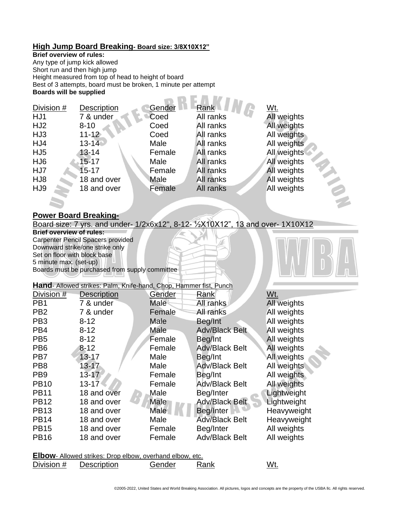#### **High Jump Board Breaking- Board size: 3/8X10X12"**

#### **Brief overview of rules:**

Any type of jump kick allowed Short run and then high jump Height measured from top of head to height of board Best of 3 attempts, board must be broken, 1 minute per attempt **Boards will be supplied**  $-$  on  $F$  in the  $-$ 

| Division #      | <b>Description</b> | Gender | Rank      | Wt.         |
|-----------------|--------------------|--------|-----------|-------------|
| HJ1             | 7 & under          | Coed   | All ranks | All weights |
| HJ <sub>2</sub> | $8 - 10$           | Coed   | All ranks | All weights |
| HJ3             | $11 - 12$          | Coed   | All ranks | All weights |
| HJ4             | $13-14$            | Male   | All ranks | All weights |
| HJ <sub>5</sub> | $13 - 14$          | Female | All ranks | All weights |
| HJ <sub>6</sub> | $15 - 17$          | Male   | All ranks | All weights |
| HJ7             | $15 - 17$          | Female | All ranks | All weights |
| HJ8             | 18 and over        | Male   | All ranks | All weights |
| HJ9             | 18 and over        | Female | All ranks | All weights |
|                 |                    |        |           |             |

### **Power Board Breaking-**

Board size: 7 yrs. and under- 1/2x6x12", 8-12- ½X10X12", 13 and over- 1X10X12

**Brief overview of rules:** Carpenter Pencil Spacers provided Downward strike/one strike only Set on floor with block base 5 minute max. (set-up) Boards must be purchased from supply committee

**Hand**- Allowed strikes: Palm, Knife-hand, Chop, Hammer fist, Punch

| Division #                                                      | <b>Description</b> | Gender      | Rank                  | Wt.         |  |
|-----------------------------------------------------------------|--------------------|-------------|-----------------------|-------------|--|
| PB <sub>1</sub>                                                 | 7 & under          | <b>Male</b> | All ranks             | All weights |  |
| PB <sub>2</sub>                                                 | 7 & under          | Female      | All ranks             | All weights |  |
| PB <sub>3</sub>                                                 | $8 - 12$           | Male        | Beg/Int               | All weights |  |
| PB <sub>4</sub>                                                 | $8 - 12$           | Male        | <b>Adv/Black Belt</b> | All weights |  |
| PB <sub>5</sub>                                                 | $8 - 12$           | Female      | Beg/Int               | All weights |  |
| PB <sub>6</sub>                                                 | $8 - 12$           | Female      | <b>Adv/Black Belt</b> | All weights |  |
| PB7                                                             | $13 - 17$          | Male        | Beg/Int               | All weights |  |
| PB <sub>8</sub>                                                 | $13 - 17$          | Male        | <b>Adv/Black Belt</b> | All weights |  |
| PB <sub>9</sub>                                                 | $13 - 17$          | Female      | Beg/Int               | All weights |  |
| <b>PB10</b>                                                     | $13 - 17$          | Female      | <b>Adv/Black Belt</b> | All weights |  |
| <b>PB11</b>                                                     | 18 and over        | Male        | Beg/Inter             | Lightweight |  |
| <b>PB12</b>                                                     | 18 and over        | Male        | <b>Adv/Black Belt</b> | Lightweight |  |
| <b>PB13</b>                                                     | 18 and over        | <b>Male</b> | Beg/Inter             | Heavyweight |  |
| <b>PB14</b>                                                     | 18 and over        | Male        | Adv/Black Belt        | Heavyweight |  |
| <b>PB15</b>                                                     | 18 and over        | Female      | Beg/Inter             | All weights |  |
| <b>PB16</b>                                                     | 18 and over        | Female      | <b>Adv/Black Belt</b> | All weights |  |
| <b>Elbow-</b> Allowed strikes: Drop elbow, overhand elbow, etc. |                    |             |                       |             |  |

Division # Description Gender Rank Wt.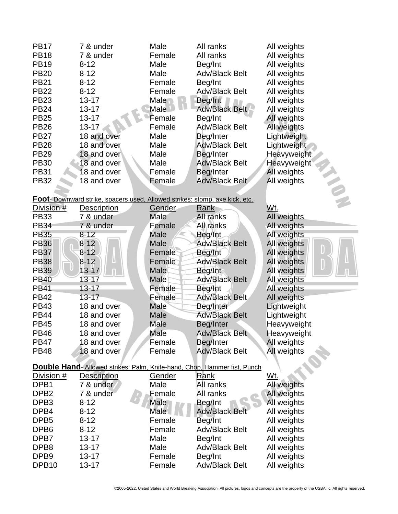| <b>PB17</b>                                                                    | 7 & under                                                                          | Male              | All ranks             | All weights |  |
|--------------------------------------------------------------------------------|------------------------------------------------------------------------------------|-------------------|-----------------------|-------------|--|
| <b>PB18</b>                                                                    | 7 & under                                                                          | Female            | All ranks             | All weights |  |
| <b>PB19</b>                                                                    | $8 - 12$                                                                           | Male              | Beg/Int               | All weights |  |
| <b>PB20</b>                                                                    | $8 - 12$                                                                           | Male              | <b>Adv/Black Belt</b> | All weights |  |
| <b>PB21</b>                                                                    | $8 - 12$                                                                           | Female            | Beg/Int               | All weights |  |
| <b>PB22</b>                                                                    | $8 - 12$                                                                           | Female            | <b>Adv/Black Belt</b> | All weights |  |
| <b>PB23</b>                                                                    | $13 - 17$                                                                          | Male              | Beg/Int               | All weights |  |
| <b>PB24</b>                                                                    | $13 - 17$                                                                          | <b>Male</b>       | <b>Adv/Black Belt</b> | All weights |  |
| <b>PB25</b>                                                                    | $13 - 17$                                                                          | Female            | Beg/Int               | All weights |  |
| <b>PB26</b>                                                                    | $13 - 17$                                                                          | Female            | <b>Adv/Black Belt</b> | All weights |  |
| <b>PB27</b>                                                                    | 18 and over                                                                        | Male              | Beg/Inter             | Lightweight |  |
| <b>PB28</b>                                                                    | 18 and over                                                                        | Male              | <b>Adv/Black Belt</b> | Lightweight |  |
| <b>PB29</b>                                                                    | 18 and over                                                                        | Male              | Beg/Inter             | Heavyweight |  |
| <b>PB30</b>                                                                    | 18 and over                                                                        | Male              | <b>Adv/Black Belt</b> | Heavyweight |  |
| <b>PB31</b>                                                                    | 18 and over                                                                        | Female            | Beg/Inter             | All weights |  |
| <b>PB32</b>                                                                    | 18 and over                                                                        | Female            | <b>Adv/Black Belt</b> | All weights |  |
|                                                                                |                                                                                    |                   |                       |             |  |
|                                                                                | <b>Foot-</b> Downward strike, spacers used, Allowed strikes: stomp, axe kick, etc. |                   |                       |             |  |
| Division #                                                                     | <b>Description</b>                                                                 | Gender            | Rank                  | Wt.         |  |
| <b>PB33</b>                                                                    | 7 & under                                                                          | Male              | All ranks             | All weights |  |
| <b>PB34</b>                                                                    | 7 & under                                                                          | Female            | All ranks             | All weights |  |
| <b>PB35</b>                                                                    | $8 - 12$                                                                           | Male              | Beg/Int               | All weights |  |
| <b>PB36</b>                                                                    | $8-12$                                                                             | Male              | <b>Adv/Black Belt</b> | All weights |  |
| <b>PB37</b>                                                                    | $8-12$                                                                             | Female            | Beg/Int               | All weights |  |
| <b>PB38</b>                                                                    | $8 - 12$                                                                           | Female            | <b>Adv/Black Belt</b> | All weights |  |
| <b>PB39</b>                                                                    | $13 - 17$                                                                          | Male              | Beg/Int               | All weights |  |
| <b>PB40</b>                                                                    | 13-17                                                                              | Male              | <b>Adv/Black Belt</b> | All weights |  |
| <b>PB41</b>                                                                    | 13-17                                                                              | Female            | Beg/Int               | All weights |  |
| <b>PB42</b>                                                                    | $13 - 17$                                                                          | Female            | <b>Adv/Black Belt</b> | All weights |  |
| <b>PB43</b>                                                                    | 18 and over                                                                        | Male              | Beg/Inter             | Lightweight |  |
| <b>PB44</b>                                                                    | 18 and over                                                                        | Male              | <b>Adv/Black Belt</b> | Lightweight |  |
| <b>PB45</b>                                                                    | 18 and over                                                                        | Male              | Beg/Inter             | Heavyweight |  |
| <b>PB46</b>                                                                    | 18 and over                                                                        | Male              | <b>Adv/Black Belt</b> | Heavyweight |  |
| <b>PB47</b>                                                                    | 18 and over                                                                        | Female            | Beg/Inter             | All weights |  |
| <b>PB48</b>                                                                    | 18 and over                                                                        | Female            | <b>Adv/Black Belt</b> | All weights |  |
|                                                                                |                                                                                    |                   |                       |             |  |
| <b>Double Hand-Allowed strikes: Palm, Knife-hand, Chop, Hammer fist, Punch</b> |                                                                                    |                   |                       |             |  |
| Division #                                                                     | <b>Description</b>                                                                 | Gender            | <b>Rank</b>           | Wt.         |  |
| DPB1                                                                           | 7 & under                                                                          | Male              | All ranks             | All weights |  |
| DPB <sub>2</sub>                                                               | 7 & under                                                                          | Female            | All ranks             | All weights |  |
| DPB <sub>3</sub>                                                               | $8 - 12$                                                                           | <b>Male</b>       | Beg/Int               | All weights |  |
| DPB4                                                                           | $8 - 12$                                                                           | Male <sup>1</sup> | <b>Adv/Black Belt</b> | All weights |  |
| DPB <sub>5</sub>                                                               | $8 - 12$                                                                           | Female            | Beg/Int               | All weights |  |
| DPB <sub>6</sub>                                                               | $8 - 12$                                                                           | Female            | <b>Adv/Black Belt</b> | All weights |  |
| DPB7                                                                           | 13-17                                                                              | Male              | Beg/Int               | All weights |  |
| DPB8                                                                           | 13-17                                                                              | Male              | <b>Adv/Black Belt</b> | All weights |  |
| DPB <sub>9</sub>                                                               | 13-17                                                                              | Female            | Beg/Int               | All weights |  |
| DPB <sub>10</sub>                                                              | $13 - 17$                                                                          | Female            | <b>Adv/Black Belt</b> | All weights |  |